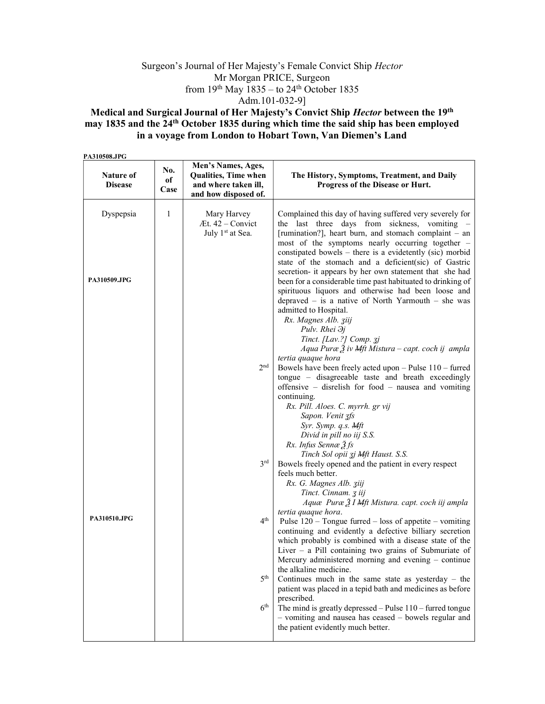## Surgeon's Journal of Her Majesty's Female Convict Ship Hector Mr Morgan PRICE, Surgeon from  $19<sup>th</sup>$  May  $1835 -$  to  $24<sup>th</sup>$  October 1835 Adm.101-032-9]

## Medical and Surgical Journal of Her Majesty's Convict Ship Hector between the 19th may 1835 and the 24th October 1835 during which time the said ship has been employed in a voyage from London to Hobart Town, Van Diemen's Land

PA310508.JPG

| Nature of<br><b>Disease</b> | No.<br>оf<br>Case | Men's Names, Ages,<br>Qualities, Time when<br>and where taken ill,<br>and how disposed of. | The History, Symptoms, Treatment, and Daily<br>Progress of the Disease or Hurt.                                                                                                                                                                                                                                                                                                                              |
|-----------------------------|-------------------|--------------------------------------------------------------------------------------------|--------------------------------------------------------------------------------------------------------------------------------------------------------------------------------------------------------------------------------------------------------------------------------------------------------------------------------------------------------------------------------------------------------------|
| Dyspepsia                   | 1                 | Mary Harvey<br>$At. 42 - Convict$<br>July 1 <sup>st</sup> at Sea.                          | Complained this day of having suffered very severely for<br>the last three days from sickness, vomiting -<br>[rumination?], heart burn, and stomach complaint – an<br>most of the symptoms nearly occurring together -<br>constipated bowels – there is a evidetently (sic) morbid<br>state of the stomach and a deficient(sic) of Gastric                                                                   |
| PA310509.JPG                |                   |                                                                                            | secretion- it appears by her own statement that she had<br>been for a considerable time past habituated to drinking of<br>spirituous liquors and otherwise had been loose and<br>depraved $-$ is a native of North Yarmouth $-$ she was<br>admitted to Hospital.<br>Rx. Magnes Alb. ziij<br>Pulv. Rhei $\partial j$<br>Tinct. [Lav.?] Comp. 3j<br>Aqua Puræ $\tilde{Z}$ iv Mft Mistura – capt. coch ij ampla |
|                             |                   | 2 <sub>nd</sub>                                                                            | tertia quaque hora<br>Bowels have been freely acted upon - Pulse 110 - furred<br>tongue – disagreeable taste and breath exceedingly<br>offensive – disrelish for food – nausea and vomiting<br>continuing.<br>Rx. Pill. Aloes. C. myrrh. gr vij<br>Sapon. Venit 3fs<br>Syr. Symp. q.s. Mft<br>Divid in pill no iij S.S.<br>Rx. Infus Sennæ 3 fs                                                              |
|                             |                   | 3 <sup>rd</sup>                                                                            | Tinch Sol opii zj Mft Haust. S.S.<br>Bowels freely opened and the patient in every respect<br>feels much better.<br>Rx. G. Magnes Alb. ziij<br>Tinct. Cinnam. 3 iij<br>Aquæ Puræ 3 I Mft Mistura. capt. coch iij ampla                                                                                                                                                                                       |
| PA310510.JPG                |                   | 4 <sup>th</sup>                                                                            | tertia quaque hora.<br>Pulse $120$ – Tongue furred – loss of appetite – vomiting<br>continuing and evidently a defective billiary secretion<br>which probably is combined with a disease state of the<br>Liver $-$ a Pill containing two grains of Submuriate of<br>Mercury administered morning and evening - continue                                                                                      |
|                             |                   | 5 <sup>th</sup><br>6 <sup>th</sup>                                                         | the alkaline medicine.<br>Continues much in the same state as yesterday $-$ the<br>patient was placed in a tepid bath and medicines as before<br>prescribed.<br>The mind is greatly depressed $-$ Pulse $110 -$ furred tongue<br>- vomiting and nausea has ceased - bowels regular and<br>the patient evidently much better.                                                                                 |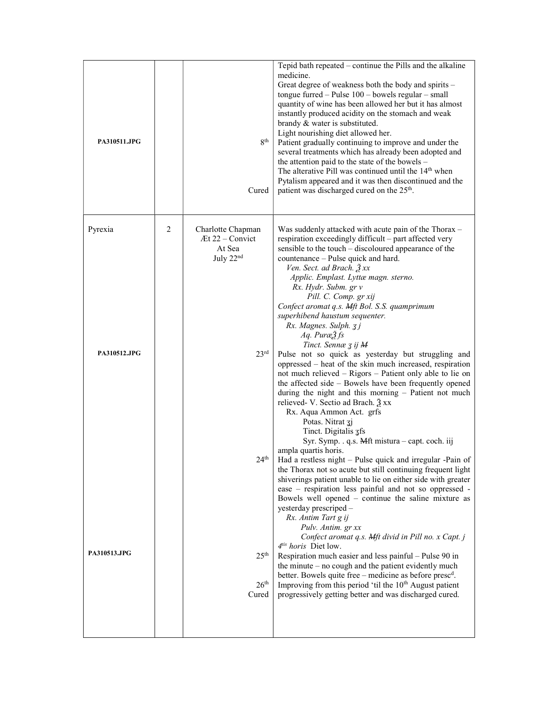| PA310511.JPG |   | 8 <sup>th</sup><br>Cured                                                | Tepid bath repeated - continue the Pills and the alkaline<br>medicine.<br>Great degree of weakness both the body and spirits -<br>tongue furred - Pulse 100 - bowels regular - small<br>quantity of wine has been allowed her but it has almost<br>instantly produced acidity on the stomach and weak<br>brandy & water is substituted.<br>Light nourishing diet allowed her.<br>Patient gradually continuing to improve and under the<br>several treatments which has already been adopted and<br>the attention paid to the state of the bowels -<br>The alterative Pill was continued until the 14 <sup>th</sup> when<br>Pytalism appeared and it was then discontinued and the<br>patient was discharged cured on the 25 <sup>th</sup> .                                                             |
|--------------|---|-------------------------------------------------------------------------|---------------------------------------------------------------------------------------------------------------------------------------------------------------------------------------------------------------------------------------------------------------------------------------------------------------------------------------------------------------------------------------------------------------------------------------------------------------------------------------------------------------------------------------------------------------------------------------------------------------------------------------------------------------------------------------------------------------------------------------------------------------------------------------------------------|
| Pyrexia      | 2 | Charlotte Chapman<br>Æt 22 – Convict<br>At Sea<br>July 22 <sup>nd</sup> | Was suddenly attacked with acute pain of the Thorax -<br>respiration exceedingly difficult - part affected very<br>sensible to the touch - discoloured appearance of the<br>countenance - Pulse quick and hard.<br>Ven. Sect. ad Brach. 3 xx<br>Applic. Emplast. Lyttæ magn. sterno.<br>Rx. Hydr. Subm. gr v<br>Pill. C. Comp. gr xij<br>Confect aromat q.s. Mft Bol. S.S. quamprimum<br>superhibend haustum sequenter.<br>Rx. Magnes. Sulph. 3j<br>$Aq$ . Puræ $2f_s$                                                                                                                                                                                                                                                                                                                                  |
| PA310512.JPG |   | 23 <sup>rd</sup>                                                        | Tinct. Sennæ 3 ij M<br>Pulse not so quick as yesterday but struggling and<br>oppressed – heat of the skin much increased, respiration<br>not much relieved – Rigors – Patient only able to lie on<br>the affected side - Bowels have been frequently opened<br>during the night and this morning - Patient not much<br>relieved- V. Sectio ad Brach. 3 xx<br>Rx. Aqua Ammon Act. grfs<br>Potas. Nitrat 3j<br>Tinct. Digitalis 3fs<br>Syr. Symp. . q.s. Mft mistura – capt. coch. iij<br>ampla quartis horis.                                                                                                                                                                                                                                                                                            |
| PA310513.JPG |   | 24 <sup>th</sup><br>25 <sup>th</sup><br>26 <sup>th</sup><br>Cured       | Had a restless night – Pulse quick and irregular -Pain of<br>the Thorax not so acute but still continuing frequent light<br>shiverings patient unable to lie on either side with greater<br>ease – respiration less painful and not so oppressed -<br>Bowels well opened – continue the saline mixture as<br>yesterday prescriped -<br>Rx. Antim Tart g ij<br>Pulv. Antim. gr xx<br>Confect aromat q.s. Mft divid in Pill no. x Capt. j<br>4 <sup>tis</sup> horis Diet low.<br>Respiration much easier and less painful - Pulse 90 in<br>the minute $-$ no cough and the patient evidently much<br>better. Bowels quite free – medicine as before presc <sup>d</sup> .<br>Improving from this period 'til the 10 <sup>th</sup> August patient<br>progressively getting better and was discharged cured. |
|              |   |                                                                         |                                                                                                                                                                                                                                                                                                                                                                                                                                                                                                                                                                                                                                                                                                                                                                                                         |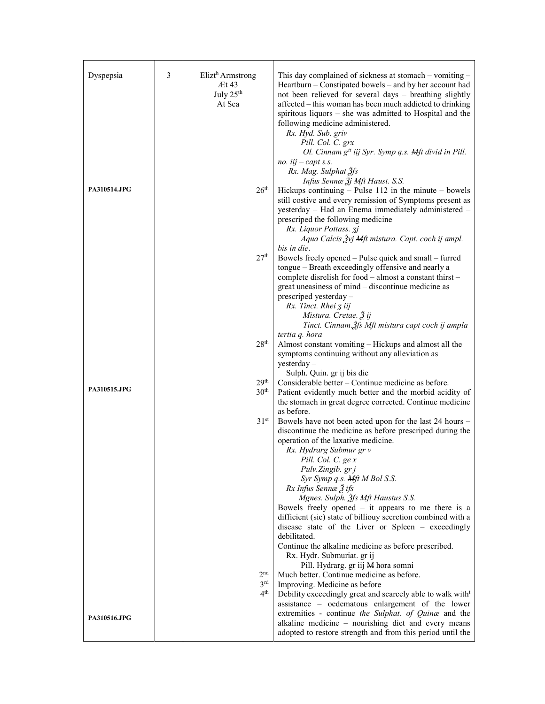| Dyspepsia    | 3 | Elizt <sup>h</sup> Armstrong<br>At43<br>July 25 <sup>th</sup><br>At Sea | This day complained of sickness at stomach – vomiting –<br>Heartburn – Constipated bowels – and by her account had<br>not been relieved for several days - breathing slightly<br>affected – this woman has been much addicted to drinking<br>spiritous liquors $-$ she was admitted to Hospital and the<br>following medicine administered.<br>Rx. Hyd. Sub. griv<br>Pill. Col. C. grx                                                                                                                       |
|--------------|---|-------------------------------------------------------------------------|--------------------------------------------------------------------------------------------------------------------------------------------------------------------------------------------------------------------------------------------------------------------------------------------------------------------------------------------------------------------------------------------------------------------------------------------------------------------------------------------------------------|
| PA310514.JPG |   | 26 <sup>th</sup>                                                        | Ol. Cinnam g <sup>tt</sup> iij Syr. Symp q.s. Mft divid in Pill.<br>no. $iij - capt s.s.$<br>Rx. Mag. Sulphat 3fs<br>Infus Sennæ $\tilde{A}$ j Mft Haust. S.S.<br>Hickups continuing $-$ Pulse 112 in the minute $-$ bowels<br>still costive and every remission of Symptoms present as<br>yesterday - Had an Enema immediately administered -<br>prescriped the following medicine<br>Rx. Liquor Pottass. 3j                                                                                                |
|              |   | 27 <sup>th</sup>                                                        | Aqua Calcis Žvj Mft mistura. Capt. coch ij ampl.<br>bis in die.<br>Bowels freely opened – Pulse quick and small – furred<br>tongue - Breath exceedingly offensive and nearly a<br>complete disrelish for food - almost a constant thirst -<br>great uneasiness of mind – discontinue medicine as<br>prescriped yesterday -<br>Rx. Tinct. Rhei 3 iij<br>Mistura. Cretae. Ѯ ij                                                                                                                                 |
|              |   | 28 <sup>th</sup>                                                        | Tinct. Cinnam. Šfs Mft mistura capt coch ij ampla<br>tertia q. hora<br>Almost constant vomiting – Hickups and almost all the<br>symptoms continuing without any alleviation as<br>$y$ esterday –<br>Sulph. Quin. gr ij bis die                                                                                                                                                                                                                                                                               |
| PA310515.JPG |   | 29 <sup>th</sup><br>30 <sup>th</sup>                                    | Considerable better - Continue medicine as before.<br>Patient evidently much better and the morbid acidity of<br>the stomach in great degree corrected. Continue medicine<br>as before.                                                                                                                                                                                                                                                                                                                      |
|              |   | 31 <sup>st</sup>                                                        | Bowels have not been acted upon for the last 24 hours -<br>discontinue the medicine as before prescriped during the<br>operation of the laxative medicine.<br>Rx. Hydrarg Submur gr v<br>Pill. Col. C. ge x<br>Pulv.Zingib. gr j<br>Syr Symp q.s. Mft M Bol S.S.<br>Rx Infus Sennæ 3 ifs<br>Mgnes. Sulph. 3fs Mft Haustus S.S.<br>Bowels freely opened $-$ it appears to me there is a<br>difficient (sic) state of billiouy secretion combined with a<br>disease state of the Liver or Spleen - exceedingly |
|              |   |                                                                         | debilitated.<br>Continue the alkaline medicine as before prescribed.<br>Rx. Hydr. Submuriat. gr ij<br>Pill. Hydrarg. gr iij M hora somni                                                                                                                                                                                                                                                                                                                                                                     |
| PA310516.JPG |   | 2 <sup>nd</sup><br>3 <sup>rd</sup><br>4 <sup>th</sup>                   | Much better. Continue medicine as before.<br>Improving. Medicine as before<br>Debility exceedingly great and scarcely able to walk with <sup>t</sup><br>assistance - oedematous enlargement of the lower<br>extremities - continue the Sulphat. of Quinæ and the<br>alkaline medicine - nourishing diet and every means<br>adopted to restore strength and from this period until the                                                                                                                        |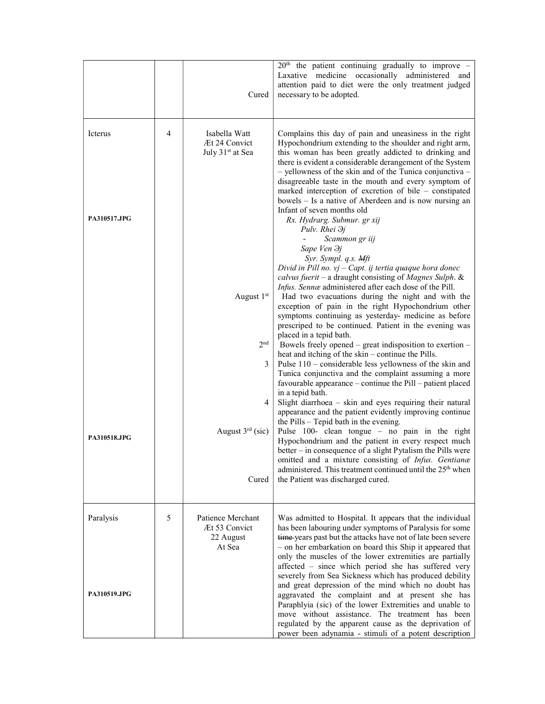|                         |   | Cured                                                          | $20th$ the patient continuing gradually to improve -<br>Laxative medicine occasionally administered and<br>attention paid to diet were the only treatment judged<br>necessary to be adopted.                                                                                                                                                                                                                                                                                                                                               |
|-------------------------|---|----------------------------------------------------------------|--------------------------------------------------------------------------------------------------------------------------------------------------------------------------------------------------------------------------------------------------------------------------------------------------------------------------------------------------------------------------------------------------------------------------------------------------------------------------------------------------------------------------------------------|
| Icterus<br>PA310517.JPG | 4 | Isabella Watt<br>Æt 24 Convict<br>July 31 <sup>st</sup> at Sea | Complains this day of pain and uneasiness in the right<br>Hypochondrium extending to the shoulder and right arm,<br>this woman has been greatly addicted to drinking and<br>there is evident a considerable derangement of the System<br>- yellowness of the skin and of the Tunica conjunctiva -<br>disagreeable taste in the mouth and every symptom of<br>marked interception of excretion of bile – constipated<br>bowels – Is a native of Aberdeen and is now nursing an<br>Infant of seven months old<br>Rx. Hydrarg. Submur. gr xij |
|                         |   |                                                                | Pulv. Rhei $\partial j$<br>Scammon gr iij<br>Sape Ven $\partial j$<br>Syr. Sympl. q.s. Mft<br>Divid in Pill no. $vj$ – Capt. ij tertia quaque hora donec<br>calvus fuerit – a draught consisting of Magnes Sulph. &<br>Infus. Sennæ administered after each dose of the Pill.                                                                                                                                                                                                                                                              |
|                         |   | August 1st                                                     | Had two evacuations during the night and with the<br>exception of pain in the right Hypochondrium other<br>symptoms continuing as yesterday- medicine as before<br>prescriped to be continued. Patient in the evening was<br>placed in a tepid bath.                                                                                                                                                                                                                                                                                       |
|                         |   | 2 <sub>nd</sub><br>3                                           | Bowels freely opened – great indisposition to exertion –<br>heat and itching of the skin – continue the Pills.<br>Pulse $110$ – considerable less yellowness of the skin and<br>Tunica conjunctiva and the complaint assuming a more<br>favourable appearance – continue the Pill – patient placed<br>in a tepid bath.                                                                                                                                                                                                                     |
| PA310518.JPG            |   | 4<br>August $3rd$ (sic)                                        | Slight diarrhoea - skin and eyes requiring their natural<br>appearance and the patient evidently improving continue<br>the Pills – Tepid bath in the evening.<br>Pulse 100- clean tongue - no pain in the right<br>Hypochondrium and the patient in every respect much<br>better – in consequence of a slight Pytalism the Pills were<br>omitted and a mixture consisting of Infus. Gentianæ                                                                                                                                               |
|                         |   | Cured                                                          | administered. This treatment continued until the 25 <sup>th</sup> when<br>the Patient was discharged cured.                                                                                                                                                                                                                                                                                                                                                                                                                                |
| Paralysis               | 5 | Patience Merchant<br>Æt 53 Convict<br>22 August<br>At Sea      | Was admitted to Hospital. It appears that the individual<br>has been labouring under symptoms of Paralysis for some<br>time-years past but the attacks have not of late been severe<br>- on her embarkation on board this Ship it appeared that<br>only the muscles of the lower extremities are partially<br>affected - since which period she has suffered very<br>severely from Sea Sickness which has produced debility                                                                                                                |
| <b>PA310519.JPG</b>     |   |                                                                | and great depression of the mind which no doubt has<br>aggravated the complaint and at present she has<br>Paraphlyia (sic) of the lower Extremities and unable to<br>move without assistance. The treatment has been<br>regulated by the apparent cause as the deprivation of<br>power been adynamia - stimuli of a potent description                                                                                                                                                                                                     |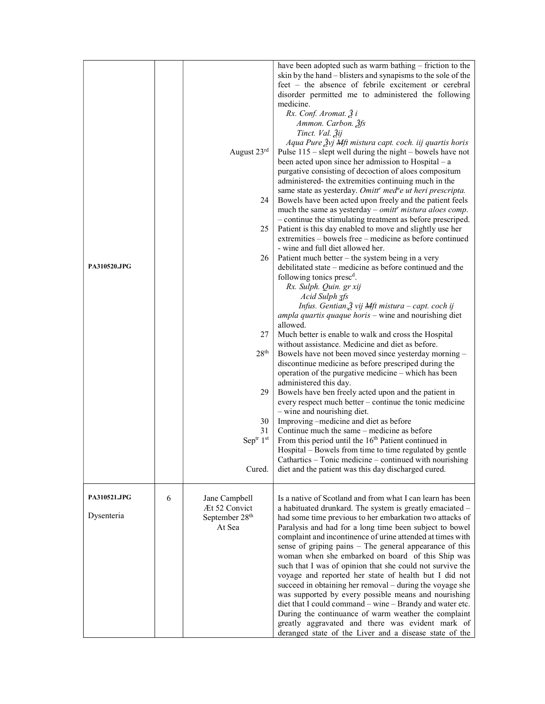| <b>PA310520.JPG</b>        |   | August 23rd<br>24<br>25<br>26<br>27<br>28 <sup>th</sup><br>29<br>30<br>31<br>Septr 1st<br>Cured. | have been adopted such as warm bathing - friction to the<br>skin by the hand – blisters and synapisms to the sole of the<br>feet – the absence of febrile excitement or cerebral<br>disorder permitted me to administered the following<br>medicine.<br>Rx. Conf. Aromat. $\tilde{Z}$ i<br>Ammon. Carbon. 3fs<br>Tinct. Val. 3ij<br>Aqua Pure $\tilde{z}$ vj Mft mistura capt. coch. iij quartis horis<br>Pulse $115$ – slept well during the night – bowels have not<br>been acted upon since her admission to Hospital $-$ a<br>purgative consisting of decoction of aloes compositum<br>administered- the extremities continuing much in the<br>same state as yesterday. Omitt' med <sup>n</sup> e ut heri prescripta.<br>Bowels have been acted upon freely and the patient feels<br>much the same as yesterday $-$ omitt' mistura aloes comp.<br>- continue the stimulating treatment as before prescriped.<br>Patient is this day enabled to move and slightly use her<br>extremities – bowels free – medicine as before continued<br>- wine and full diet allowed her.<br>Patient much better $-$ the system being in a very<br>debilitated state – medicine as before continued and the<br>following tonics presc <sup>d</sup> .<br>Rx. Sulph. Quin. gr xij<br>Acid Sulph 3fs<br>Infus. Gentian. $\tilde{A}$ vij Mft mistura – capt. coch ij<br>ampla quartis quaque horis - wine and nourishing diet<br>allowed.<br>Much better is enable to walk and cross the Hospital<br>without assistance. Medicine and diet as before.<br>Bowels have not been moved since yesterday morning -<br>discontinue medicine as before prescriped during the<br>operation of the purgative medicine – which has been<br>administered this day.<br>Bowels have ben freely acted upon and the patient in<br>every respect much better – continue the tonic medicine<br>- wine and nourishing diet.<br>Improving -medicine and diet as before<br>Continue much the same – medicine as before<br>From this period until the 16 <sup>th</sup> Patient continued in<br>Hospital – Bowels from time to time regulated by gentle<br>Cathartics – Tonic medicine – continued with nourishing<br>diet and the patient was this day discharged cured. |
|----------------------------|---|--------------------------------------------------------------------------------------------------|-------------------------------------------------------------------------------------------------------------------------------------------------------------------------------------------------------------------------------------------------------------------------------------------------------------------------------------------------------------------------------------------------------------------------------------------------------------------------------------------------------------------------------------------------------------------------------------------------------------------------------------------------------------------------------------------------------------------------------------------------------------------------------------------------------------------------------------------------------------------------------------------------------------------------------------------------------------------------------------------------------------------------------------------------------------------------------------------------------------------------------------------------------------------------------------------------------------------------------------------------------------------------------------------------------------------------------------------------------------------------------------------------------------------------------------------------------------------------------------------------------------------------------------------------------------------------------------------------------------------------------------------------------------------------------------------------------------------------------------------------------------------------------------------------------------------------------------------------------------------------------------------------------------------------------------------------------------------------------------------------------------------------------------------------------------------------------------------------------------------------------------------------------------------------------------------------------------------------------------|
| PA310521.JPG<br>Dysenteria | 6 | Jane Campbell<br>Æt 52 Convict<br>September 28 <sup>th</sup><br>At Sea                           | Is a native of Scotland and from what I can learn has been<br>a habituated drunkard. The system is greatly emaciated -<br>had some time previous to her embarkation two attacks of<br>Paralysis and had for a long time been subject to bowel<br>complaint and incontinence of urine attended at times with                                                                                                                                                                                                                                                                                                                                                                                                                                                                                                                                                                                                                                                                                                                                                                                                                                                                                                                                                                                                                                                                                                                                                                                                                                                                                                                                                                                                                                                                                                                                                                                                                                                                                                                                                                                                                                                                                                                         |
|                            |   |                                                                                                  | sense of griping pains - The general appearance of this<br>woman when she embarked on board of this Ship was<br>such that I was of opinion that she could not survive the<br>voyage and reported her state of health but I did not<br>succeed in obtaining her removal – during the voyage she<br>was supported by every possible means and nourishing<br>diet that I could command – wine – Brandy and water etc.<br>During the continuance of warm weather the complaint<br>greatly aggravated and there was evident mark of<br>deranged state of the Liver and a disease state of the                                                                                                                                                                                                                                                                                                                                                                                                                                                                                                                                                                                                                                                                                                                                                                                                                                                                                                                                                                                                                                                                                                                                                                                                                                                                                                                                                                                                                                                                                                                                                                                                                                            |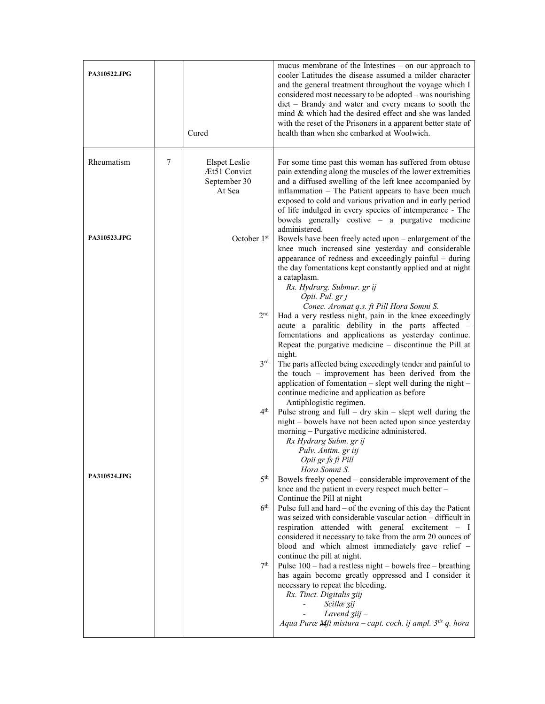| <b>PA310522.JPG</b> |   | Cured                                                          | mucus membrane of the Intestines $-$ on our approach to<br>cooler Latitudes the disease assumed a milder character<br>and the general treatment throughout the voyage which I<br>considered most necessary to be adopted - was nourishing<br>diet - Brandy and water and every means to sooth the<br>mind & which had the desired effect and she was landed<br>with the reset of the Prisoners in a apparent better state of<br>health than when she embarked at Woolwich. |
|---------------------|---|----------------------------------------------------------------|----------------------------------------------------------------------------------------------------------------------------------------------------------------------------------------------------------------------------------------------------------------------------------------------------------------------------------------------------------------------------------------------------------------------------------------------------------------------------|
| Rheumatism          | 7 | <b>Elspet Leslie</b><br>Æt51 Convict<br>September 30<br>At Sea | For some time past this woman has suffered from obtuse<br>pain extending along the muscles of the lower extremities<br>and a diffused swelling of the left knee accompanied by<br>inflammation – The Patient appears to have been much<br>exposed to cold and various privation and in early period<br>of life indulged in every species of intemperance - The<br>bowels generally costive $-$ a purgative medicine<br>administered.                                       |
| PA310523.JPG        |   | October $1st$                                                  | Bowels have been freely acted upon – enlargement of the<br>knee much increased sine yesterday and considerable<br>appearance of redness and exceedingly painful – during<br>the day fomentations kept constantly applied and at night<br>a cataplasm.<br>Rx. Hydrarg. Submur. gr ij<br>Opii. Pul. gr j<br>Conec. Aromat q.s. ft Pill Hora Somni S.                                                                                                                         |
|                     |   | 2 <sub>nd</sub>                                                | Had a very restless night, pain in the knee exceedingly<br>acute a paralitic debility in the parts affected -<br>fomentations and applications as yesterday continue.<br>Repeat the purgative medicine $-$ discontinue the Pill at<br>night.                                                                                                                                                                                                                               |
|                     |   | $3^{\text{rd}}$                                                | The parts affected being exceedingly tender and painful to<br>the touch – improvement has been derived from the<br>application of fomentation - slept well during the night -<br>continue medicine and application as before<br>Antiphlogistic regimen.                                                                                                                                                                                                                    |
|                     |   | 4 <sup>th</sup>                                                | Pulse strong and full $-$ dry skin $-$ slept well during the<br>night - bowels have not been acted upon since yesterday<br>morning - Purgative medicine administered.<br>Rx Hydrarg Subm. gr ij<br>Pulv. Antim. gr iij<br>Opii gr fs ft Pill<br>Hora Somni S.                                                                                                                                                                                                              |
| PA310524.JPG        |   | 5 <sup>th</sup>                                                | Bowels freely opened - considerable improvement of the<br>knee and the patient in every respect much better -<br>Continue the Pill at night                                                                                                                                                                                                                                                                                                                                |
|                     |   | 6 <sup>th</sup>                                                | Pulse full and hard – of the evening of this day the Patient<br>was seized with considerable vascular action - difficult in<br>respiration attended with general excitement - I<br>considered it necessary to take from the arm 20 ounces of<br>blood and which almost immediately gave relief -                                                                                                                                                                           |
|                     |   | 7 <sup>th</sup>                                                | continue the pill at night.<br>Pulse $100$ – had a restless night – bowels free – breathing<br>has again become greatly oppressed and I consider it<br>necessary to repeat the bleeding.<br>Rx. Tinct. Digitalis ziij<br>Scillæ zij<br>Lavend $\overline{g}$ iij -<br>Aqua Puræ Mft mistura - capt. coch. ij ampl. 3 <sup>tis</sup> q. hora                                                                                                                                |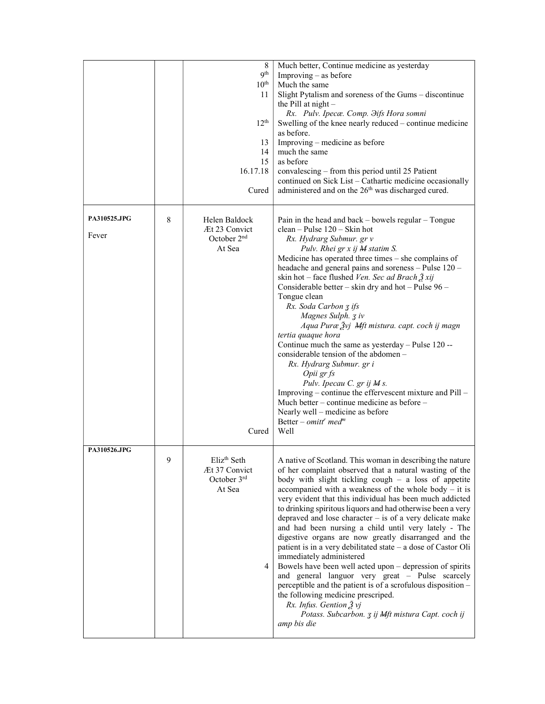|   |                         | Much better, Continue medicine as yesterday                                                                                                                                           |
|---|-------------------------|---------------------------------------------------------------------------------------------------------------------------------------------------------------------------------------|
|   |                         | Improving $-$ as before                                                                                                                                                               |
|   |                         | Much the same                                                                                                                                                                         |
|   |                         | Slight Pytalism and soreness of the Gums – discontinue                                                                                                                                |
|   |                         | the Pill at $night$                                                                                                                                                                   |
|   |                         | Rx. Pulv. Ipecæ. Comp. Əifs Hora somni                                                                                                                                                |
|   |                         | Swelling of the knee nearly reduced – continue medicine                                                                                                                               |
|   |                         | as before.                                                                                                                                                                            |
|   |                         | Improving – medicine as before                                                                                                                                                        |
|   |                         | much the same                                                                                                                                                                         |
|   |                         | as before                                                                                                                                                                             |
|   |                         |                                                                                                                                                                                       |
|   |                         | convalescing – from this period until 25 Patient                                                                                                                                      |
|   |                         | continued on Sick List - Cathartic medicine occasionally                                                                                                                              |
|   |                         | administered and on the 26 <sup>th</sup> was discharged cured.                                                                                                                        |
|   |                         |                                                                                                                                                                                       |
|   |                         |                                                                                                                                                                                       |
|   |                         | Pain in the head and back - bowels regular - Tongue                                                                                                                                   |
|   | Æt 23 Convict           | $clean - pulse 120 - Skin hot$                                                                                                                                                        |
|   | October 2 <sup>nd</sup> | Rx. Hydrarg Submur. gr v                                                                                                                                                              |
|   | At Sea                  | Pulv. Rhei gr x ij M statim S.                                                                                                                                                        |
|   |                         | Medicine has operated three times – she complains of                                                                                                                                  |
|   |                         | headache and general pains and soreness - Pulse 120 -                                                                                                                                 |
|   |                         | skin hot – face flushed Ven. Sec ad Brach $\tilde{g}$ xij                                                                                                                             |
|   |                         | Considerable better - skin dry and hot - Pulse 96 -                                                                                                                                   |
|   |                         | Tongue clean                                                                                                                                                                          |
|   |                         | Rx. Soda Carbon 3 ifs                                                                                                                                                                 |
|   |                         | Magnes Sulph. 3 iv                                                                                                                                                                    |
|   |                         |                                                                                                                                                                                       |
|   |                         | Aqua Puræ Žvj Mft mistura. capt. coch ij magn                                                                                                                                         |
|   |                         | tertia quaque hora                                                                                                                                                                    |
|   |                         | Continue much the same as yesterday - Pulse 120 --                                                                                                                                    |
|   |                         | considerable tension of the abdomen –                                                                                                                                                 |
|   |                         | Rx. Hydrarg Submur. gr i                                                                                                                                                              |
|   |                         | Opii gr fs                                                                                                                                                                            |
|   |                         | Pulv. Ipecau C. gr ij M s.                                                                                                                                                            |
|   |                         | Improving – continue the effervescent mixture and Pill –                                                                                                                              |
|   |                         | Much better – continue medicine as before –                                                                                                                                           |
|   |                         | Nearly well - medicine as before                                                                                                                                                      |
|   |                         | Better – omitt' med <sup>m</sup>                                                                                                                                                      |
|   | Cured                   | Well                                                                                                                                                                                  |
|   |                         |                                                                                                                                                                                       |
|   |                         |                                                                                                                                                                                       |
| 9 |                         | A native of Scotland. This woman in describing the nature                                                                                                                             |
|   |                         | of her complaint observed that a natural wasting of the                                                                                                                               |
|   |                         | body with slight tickling cough $-$ a loss of appetite                                                                                                                                |
|   |                         | accompanied with a weakness of the whole body $-$ it is                                                                                                                               |
|   |                         | very evident that this individual has been much addicted                                                                                                                              |
|   |                         |                                                                                                                                                                                       |
|   |                         | to drinking spiritous liquors and had otherwise been a very                                                                                                                           |
|   |                         | depraved and lose character $-$ is of a very delicate make                                                                                                                            |
|   |                         | and had been nursing a child until very lately - The                                                                                                                                  |
|   |                         | digestive organs are now greatly disarranged and the                                                                                                                                  |
|   |                         | patient is in a very debilitated state – a dose of Castor Oli                                                                                                                         |
|   |                         | immediately administered                                                                                                                                                              |
|   | 4                       | Bowels have been well acted upon – depression of spirits                                                                                                                              |
|   |                         | and general languor very great - Pulse scarcely                                                                                                                                       |
|   |                         |                                                                                                                                                                                       |
|   |                         |                                                                                                                                                                                       |
|   |                         | perceptible and the patient is of a scrofulous disposition -                                                                                                                          |
|   |                         | the following medicine prescriped.                                                                                                                                                    |
|   |                         | Rx. Infus. Gention $\tilde{Z}$ vj                                                                                                                                                     |
|   |                         | Potass. Subcarbon. 3 ij Mft mistura Capt. coch ij<br>amp bis die                                                                                                                      |
|   | 8                       | 8<br>9 <sup>th</sup><br>$10^{\rm th}$<br>11<br>$12^{th}$<br>13<br>14<br>15<br>16.17.18<br>Cured<br>Helen Baldock<br>Eliz <sup>th</sup> Seth<br>Æt 37 Convict<br>October 3rd<br>At Sea |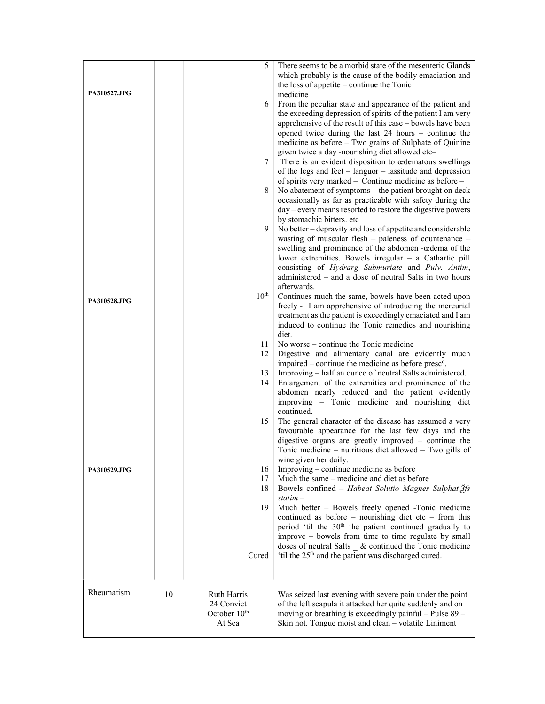|                     |    | 5                         | There seems to be a morbid state of the mesenteric Glands<br>which probably is the cause of the bodily emaciation and<br>the loss of appetite – continue the Tonic                     |
|---------------------|----|---------------------------|----------------------------------------------------------------------------------------------------------------------------------------------------------------------------------------|
| <b>PA310527.JPG</b> |    | 6                         | medicine<br>From the peculiar state and appearance of the patient and                                                                                                                  |
|                     |    |                           | the exceeding depression of spirits of the patient I am very<br>apprehensive of the result of this case – bowels have been                                                             |
|                     |    |                           | opened twice during the last $24$ hours – continue the                                                                                                                                 |
|                     |    |                           | medicine as before - Two grains of Sulphate of Quinine<br>given twice a day-nourishing diet allowed etc-                                                                               |
|                     |    | 7                         | There is an evident disposition to cedematous swellings<br>of the legs and feet – languor – lassitude and depression<br>of spirits very marked – Continue medicine as before –         |
|                     |    | 8                         | No abatement of symptoms – the patient brought on deck<br>occasionally as far as practicable with safety during the                                                                    |
|                     |    |                           | day – every means resorted to restore the digestive powers<br>by stomachic bitters. etc.                                                                                               |
|                     |    | 9                         | No better – depravity and loss of appetite and considerable<br>wasting of muscular flesh - paleness of countenance -                                                                   |
|                     |    |                           | swelling and prominence of the abdomen - cedema of the<br>lower extremities. Bowels irregular - a Cathartic pill                                                                       |
|                     |    |                           | consisting of Hydrarg Submuriate and Pulv. Antim,<br>administered – and a dose of neutral Salts in two hours<br>afterwards.                                                            |
| PA310528.JPG        |    | $10^{\text{th}}$          | Continues much the same, bowels have been acted upon<br>freely - I am apprehensive of introducing the mercurial                                                                        |
|                     |    |                           | treatment as the patient is exceedingly emaciated and I am<br>induced to continue the Tonic remedies and nourishing<br>diet.                                                           |
|                     |    | 11<br>12                  | No worse – continue the Tonic medicine<br>Digestive and alimentary canal are evidently much                                                                                            |
|                     |    | 13                        | impaired – continue the medicine as before presc <sup>d</sup> .<br>Improving – half an ounce of neutral Salts administered.                                                            |
|                     |    | 14                        | Enlargement of the extremities and prominence of the<br>abdomen nearly reduced and the patient evidently<br>improving - Tonic medicine and nourishing diet                             |
|                     |    | 15                        | continued.<br>The general character of the disease has assumed a very                                                                                                                  |
|                     |    |                           | favourable appearance for the last few days and the<br>digestive organs are greatly improved - continue the<br>Tonic medicine – nutritious diet allowed – Two gills of                 |
| PA310529.JPG        |    | 16                        | wine given her daily.<br>Improving – continue medicine as before                                                                                                                       |
|                     |    | 17<br>18                  | Much the same – medicine and diet as before<br>Bowels confined – Habeat Solutio Magnes Sulphat.3fs                                                                                     |
|                     |    | 19                        | $statim -$                                                                                                                                                                             |
|                     |    |                           | Much better – Bowels freely opened -Tonic medicine<br>continued as before $-$ nourishing diet etc $-$ from this<br>period 'til the 30 <sup>th</sup> the patient continued gradually to |
|                     |    |                           | improve – bowels from time to time regulate by small<br>doses of neutral Salts & continued the Tonic medicine                                                                          |
|                     |    | Cured                     | 'til the 25 <sup>th</sup> and the patient was discharged cured.                                                                                                                        |
| Rheumatism          | 10 | Ruth Harris<br>24 Convict | Was seized last evening with severe pain under the point<br>of the left scapula it attacked her quite suddenly and on                                                                  |
|                     |    | October $10th$<br>At Sea  | moving or breathing is exceedingly painful - Pulse 89 -<br>Skin hot. Tongue moist and clean - volatile Liniment                                                                        |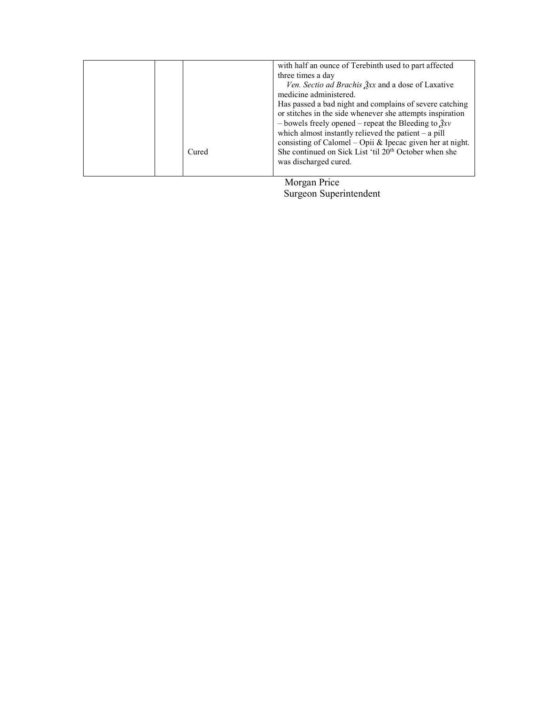|  | with half an ounce of Terebinth used to part affected<br>three times a day<br>Ven. Sectio ad Brachis 3xx and a dose of Laxative<br>medicine administered.<br>Has passed a bad night and complains of severe catching<br>or stitches in the side whenever she attempts inspiration<br>- bowels freely opened – repeat the Bleeding to $\tilde{X}$ xv<br>which almost instantly relieved the patient $-$ a pill |
|--|---------------------------------------------------------------------------------------------------------------------------------------------------------------------------------------------------------------------------------------------------------------------------------------------------------------------------------------------------------------------------------------------------------------|
|--|---------------------------------------------------------------------------------------------------------------------------------------------------------------------------------------------------------------------------------------------------------------------------------------------------------------------------------------------------------------------------------------------------------------|

 Morgan Price Surgeon Superintendent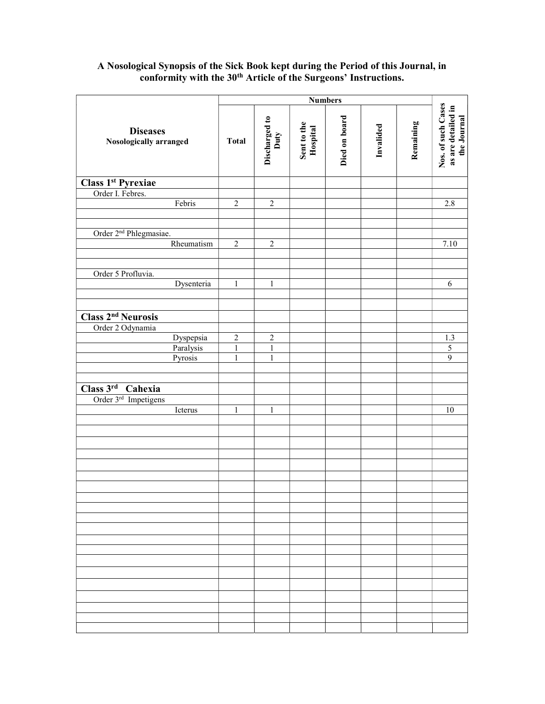## A Nosological Synopsis of the Sick Book kept during the Period of this Journal, in conformity with the 30<sup>th</sup> Article of the Surgeons' Instructions.

|                                           |              |                       | <b>Numbers</b>          |               |           |           |                                                         |                |
|-------------------------------------------|--------------|-----------------------|-------------------------|---------------|-----------|-----------|---------------------------------------------------------|----------------|
| <b>Diseases</b><br>Nosologically arranged | <b>Total</b> | Discharged to<br>Duty | Sent to the<br>Hospital | Died on board | Invalided | Remaining | Nos. of such Cases<br>as are detailed in<br>the Journal |                |
| Class 1 <sup>st</sup> Pyrexiae            |              |                       |                         |               |           |           |                                                         |                |
| Order I. Febres.                          |              |                       |                         |               |           |           |                                                         |                |
|                                           | Febris       | $\overline{2}$        | $\overline{2}$          |               |           |           |                                                         | 2.8            |
|                                           |              |                       |                         |               |           |           |                                                         |                |
|                                           |              |                       |                         |               |           |           |                                                         |                |
| Order 2 <sup>nd</sup> Phlegmasiae.        |              |                       |                         |               |           |           |                                                         |                |
|                                           | Rheumatism   | $\boldsymbol{2}$      | $\sqrt{2}$              |               |           |           |                                                         | 7.10           |
|                                           |              |                       |                         |               |           |           |                                                         |                |
| Order 5 Profluvia.                        |              |                       |                         |               |           |           |                                                         |                |
|                                           | Dysenteria   | $\,1$                 | $\mathbf{1}$            |               |           |           |                                                         | $\sqrt{6}$     |
|                                           |              |                       |                         |               |           |           |                                                         |                |
|                                           |              |                       |                         |               |           |           |                                                         |                |
| <b>Class 2nd Neurosis</b>                 |              |                       |                         |               |           |           |                                                         |                |
| Order 2 Odynamia                          |              |                       |                         |               |           |           |                                                         |                |
|                                           | Dyspepsia    | $\boldsymbol{2}$      | $\overline{c}$          |               |           |           |                                                         | $1.3\,$        |
|                                           | Paralysis    | $\,1$                 | $\mathbf{1}$            |               |           |           |                                                         | $\overline{5}$ |
|                                           | Pyrosis      | $\mathbf{1}$          | $\mathbf{1}$            |               |           |           |                                                         | $\overline{9}$ |
|                                           |              |                       |                         |               |           |           |                                                         |                |
|                                           |              |                       |                         |               |           |           |                                                         |                |
| Class 3rd Cahexia                         |              |                       |                         |               |           |           |                                                         |                |
| Order 3 <sup>rd</sup> Impetigens          |              |                       |                         |               |           |           |                                                         |                |
|                                           | Icterus      | $\mathbf{1}$          | $\mathbf{1}$            |               |           |           |                                                         | $10\,$         |
|                                           |              |                       |                         |               |           |           |                                                         |                |
|                                           |              |                       |                         |               |           |           |                                                         |                |
|                                           |              |                       |                         |               |           |           |                                                         |                |
|                                           |              |                       |                         |               |           |           |                                                         |                |
|                                           |              |                       |                         |               |           |           |                                                         |                |
|                                           |              |                       |                         |               |           |           |                                                         |                |
|                                           |              |                       |                         |               |           |           |                                                         |                |
|                                           |              |                       |                         |               |           |           |                                                         |                |
|                                           |              |                       |                         |               |           |           |                                                         |                |
|                                           |              |                       |                         |               |           |           |                                                         |                |
|                                           |              |                       |                         |               |           |           |                                                         |                |
|                                           |              |                       |                         |               |           |           |                                                         |                |
|                                           |              |                       |                         |               |           |           |                                                         |                |
|                                           |              |                       |                         |               |           |           |                                                         |                |
|                                           |              |                       |                         |               |           |           |                                                         |                |
|                                           |              |                       |                         |               |           |           |                                                         |                |
|                                           |              |                       |                         |               |           |           |                                                         |                |
|                                           |              |                       |                         |               |           |           |                                                         |                |
|                                           |              |                       |                         |               |           |           |                                                         |                |
|                                           |              |                       |                         |               |           |           |                                                         |                |